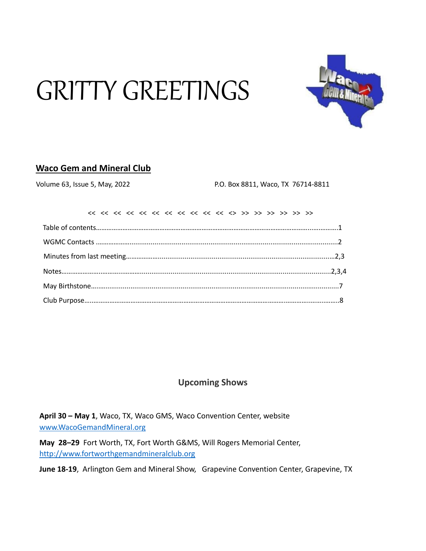# GRITTY GREETINGS



# **Waco Gem and Mineral Club**

Volume 63, Issue 5, May, 2022 P.O. Box 8811, Waco, TX 76714-8811

# **Upcoming Shows**

**April 30 – May 1**, Waco, TX, Waco GMS, Waco Convention Center, website [www.WacoGemandMineral.org](http://www.wacogemandmineral.org/)

**May 28–29** Fort Worth, TX, Fort Worth G&MS, Will Rogers Memorial Center, [http://www.fortworthgemandmineralclub.org](http://www.fortworthgemandmineralclub.org/)

**June 18-19**, Arlington Gem and Mineral Show, Grapevine Convention Center, Grapevine, TX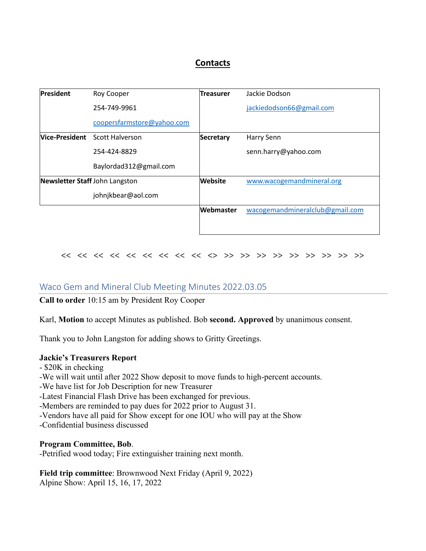## **Contacts**

| <b>President</b>               | Roy Cooper                            | <b>Treasurer</b> | Jackie Dodson                   |
|--------------------------------|---------------------------------------|------------------|---------------------------------|
|                                | 254-749-9961                          |                  | jackiedodson66@gmail.com        |
|                                | coopersfarmstore@yahoo.com            |                  |                                 |
|                                | <b>Vice-President</b> Scott Halverson | <b>Secretary</b> | Harry Senn                      |
|                                | 254-424-8829                          |                  | senn.harry@yahoo.com            |
|                                | Baylordad312@gmail.com                |                  |                                 |
| Newsletter Staff John Langston |                                       | <b>Website</b>   | www.wacogemandmineral.org       |
|                                | johnjkbear@aol.com                    |                  |                                 |
|                                |                                       | Webmaster        | wacogemandmineralclub@gmail.com |
|                                |                                       |                  |                                 |

## << << << << << << << << << <> >> >> >> >> >> >> >> >> >>

## Waco Gem and Mineral Club Meeting Minutes 2022.03.05

**Call to order** 10:15 am by President Roy Cooper

Karl, **Motion** to accept Minutes as published. Bob **second. Approved** by unanimous consent.

Thank you to John Langston for adding shows to Gritty Greetings.

#### **Jackie's Treasurers Report**

- \$20K in checking
- -We will wait until after 2022 Show deposit to move funds to high-percent accounts.
- -We have list for Job Description for new Treasurer
- -Latest Financial Flash Drive has been exchanged for previous.
- -Members are reminded to pay dues for 2022 prior to August 31.
- -Vendors have all paid for Show except for one IOU who will pay at the Show
- -Confidential business discussed

#### **Program Committee, Bob**.

-Petrified wood today; Fire extinguisher training next month.

**Field trip committee**: Brownwood Next Friday (April 9, 2022) Alpine Show: April 15, 16, 17, 2022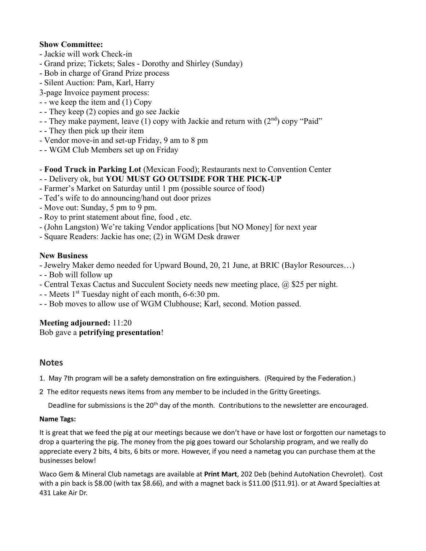## **Show Committee:**

- Jackie will work Check-in
- Grand prize; Tickets; Sales Dorothy and Shirley (Sunday)
- Bob in charge of Grand Prize process
- Silent Auction: Pam, Karl, Harry
- 3-page Invoice payment process:
- - we keep the item and (1) Copy
- - They keep (2) copies and go see Jackie
- They make payment, leave (1) copy with Jackie and return with  $(2<sup>nd</sup>)$  copy "Paid"
- - They then pick up their item
- Vendor move-in and set-up Friday, 9 am to 8 pm
- - WGM Club Members set up on Friday
- **Food Truck in Parking Lot** (Mexican Food); Restaurants next to Convention Center
- - Delivery ok, but **YOU MUST GO OUTSIDE FOR THE PICK-UP**
- Farmer's Market on Saturday until 1 pm (possible source of food)
- Ted's wife to do announcing/hand out door prizes
- Move out: Sunday, 5 pm to 9 pm.
- Roy to print statement about fine, food , etc.
- (John Langston) We're taking Vendor applications [but NO Money] for next year
- Square Readers: Jackie has one; (2) in WGM Desk drawer

#### **New Business**

- Jewelry Maker demo needed for Upward Bound, 20, 21 June, at BRIC (Baylor Resources…)

- - Bob will follow up
- Central Texas Cactus and Succulent Society needs new meeting place, @ \$25 per night.
- - Meets 1<sup>st</sup> Tuesday night of each month, 6-6:30 pm.
- - Bob moves to allow use of WGM Clubhouse; Karl, second. Motion passed.

#### **Meeting adjourned:** 11:20 Bob gave a **petrifying presentation**!

## **Notes**

- 1. May 7th program will be a safety demonstration on fire extinguishers. (Required by the Federation.)
- 2The editor requests news items from any member to be included in the Gritty Greetings.

Deadline for submissions is the 20<sup>th</sup> day of the month. Contributions to the newsletter are encouraged.

#### **Name Tags:**

It is great that we feed the pig at our meetings because we don't have or have lost or forgotten our nametags to drop a quartering the pig. The money from the pig goes toward our Scholarship program, and we really do appreciate every 2 bits, 4 bits, 6 bits or more. However, if you need a nametag you can purchase them at the businesses below!

Waco Gem & Mineral Club nametags are available at **Print Mart**, 202 Deb (behind AutoNation Chevrolet). Cost with a pin back is \$8.00 (with tax \$8.66), and with a magnet back is \$11.00 (\$11.91). or at Award Specialties at 431 Lake Air Dr.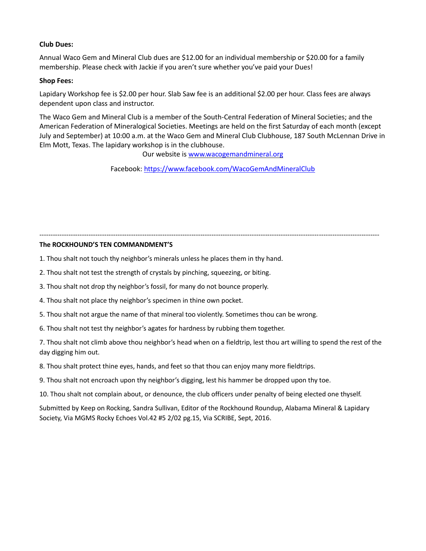#### **Club Dues:**

Annual Waco Gem and Mineral Club dues are \$12.00 for an individual membership or \$20.00 for a family membership. Please check with Jackie if you aren't sure whether you've paid your Dues!

#### **Shop Fees:**

Lapidary Workshop fee is \$2.00 per hour. Slab Saw fee is an additional \$2.00 per hour. Class fees are always dependent upon class and instructor.

The Waco Gem and Mineral Club is a member of the South-Central Federation of Mineral Societies; and the American Federation of Mineralogical Societies. Meetings are held on the first Saturday of each month (except July and September) at 10:00 a.m. at the Waco Gem and Mineral Club Clubhouse, 187 South McLennan Drive in Elm Mott, Texas. The lapidary workshop is in the clubhouse.

Our website is www.wacogemandmineral.org

Facebook:<https://www.facebook.com/WacoGemAndMineralClub>

--------------------------------------------------------------------------------------------------------------------------------------------------------

#### **The ROCKHOUND'S TEN COMMANDMENT'S**

1. Thou shalt not touch thy neighbor's minerals unless he places them in thy hand.

2. Thou shalt not test the strength of crystals by pinching, squeezing, or biting.

3. Thou shalt not drop thy neighbor's fossil, for many do not bounce properly.

4. Thou shalt not place thy neighbor's specimen in thine own pocket.

5. Thou shalt not argue the name of that mineral too violently. Sometimes thou can be wrong.

6. Thou shalt not test thy neighbor's agates for hardness by rubbing them together.

7. Thou shalt not climb above thou neighbor's head when on a fieldtrip, lest thou art willing to spend the rest of the day digging him out.

8. Thou shalt protect thine eyes, hands, and feet so that thou can enjoy many more fieldtrips.

9. Thou shalt not encroach upon thy neighbor's digging, lest his hammer be dropped upon thy toe.

10. Thou shalt not complain about, or denounce, the club officers under penalty of being elected one thyself.

Submitted by Keep on Rocking, Sandra Sullivan, Editor of the Rockhound Roundup, Alabama Mineral & Lapidary Society, Via MGMS Rocky Echoes Vol.42 #5 2/02 pg.15, Via SCRIBE, Sept, 2016.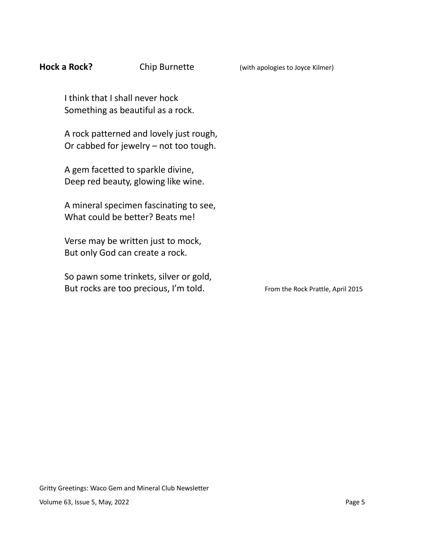| Hock a Rock? | Chip Burnette                                                                       | (with apologies to Joyce Kilmer)  |
|--------------|-------------------------------------------------------------------------------------|-----------------------------------|
|              | I think that I shall never hock<br>Something as beautiful as a rock.                |                                   |
|              | A rock patterned and lovely just rough,<br>Or cabbed for jewelry $-$ not too tough. |                                   |
|              | A gem facetted to sparkle divine,<br>Deep red beauty, glowing like wine.            |                                   |
|              | A mineral specimen fascinating to see,<br>What could be better? Beats me!           |                                   |
|              | Verse may be written just to mock,<br>But only God can create a rock.               |                                   |
|              | So pawn some trinkets, silver or gold,<br>But rocks are too precious, I'm told.     | From the Rock Prattle, April 2015 |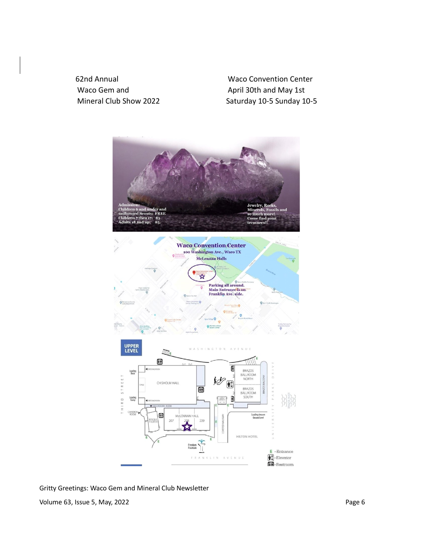62nd Annual Waco Convention Center Waco Gem and April 30th and May 1st

Mineral Club Show 2022 Saturday 10-5 Sunday 10-5





Gritty Greetings: Waco Gem and Mineral Club Newsletter Volume 63, Issue 5, May, 2022 **Page 6** Page 6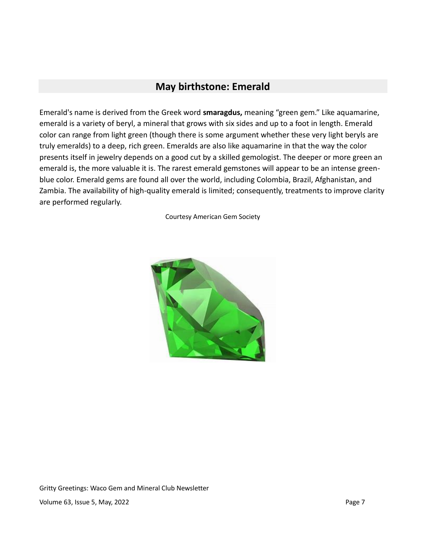# **May birthstone: Emerald**

Emerald's name is derived from the Greek word **smaragdus,** meaning "green gem." Like aquamarine, emerald is a variety of beryl, a mineral that grows with six sides and up to a foot in length. Emerald color can range from light green (though there is some argument whether these very light beryls are truly emeralds) to a deep, rich green. Emeralds are also like aquamarine in that the way the color presents itself in jewelry depends on a good cut by a skilled gemologist. The deeper or more green an emerald is, the more valuable it is. The rarest emerald gemstones will appear to be an intense greenblue color. Emerald gems are found all over the world, including Colombia, Brazil, Afghanistan, and Zambia. The availability of high-quality emerald is limited; consequently, treatments to improve clarity are performed regularly.

Courtesy American Gem Society